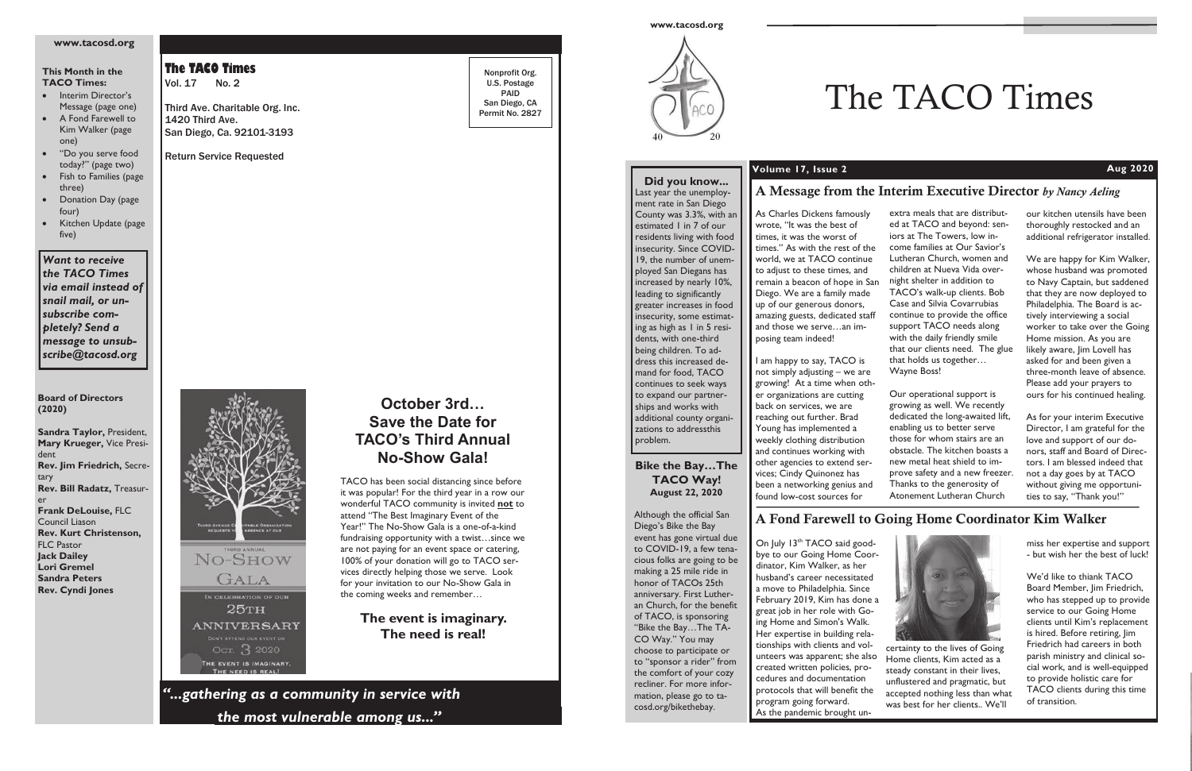*"...gathering as a community in service with the most vulnerable among us...''*

# **The TACO Times**

Vol. 17 No. 2

Third Ave. Charitable Org. Inc. 1420 Third Ave. San Diego, Ca. 92101-3193

Return Service Requested

No-SHOW

GALA IN CELEBRATION OF OUR  $25TH$ **ANNIVERSARY** 

Ост. 3 2020 THE EVENT IS IMAGINARY.

Nonprofit Org. U.S. Postage PAID San Diego, CA Permit No. 2827

**Board of Directors (2020)**

- Interim Director's Message (page one)
- A Fond Farewell to Kim Walker (page one)
- "Do you serve food today?" (page two)
- Fish to Families (page three)
- Donation Day (page four)
- Kitchen Update (page five)

**Sandra Taylor,** President, **Mary Krueger,** Vice President **Rev. Jim Friedrich,** Secretary **Rev. Bill Radatz,** Treasurer **Frank DeLouise,** FLC Council Liason **Rev. Kurt Christenson,**  FLC Pastor **Jack Dailey Lori Gremel Sandra Peters Rev. Cyndi Jones**

### **This Month in the TACO Times:**

### **www.tacosd.org**

**October 3rd… Save the Date for TACO's Third Annual No-Show Gala!**

TACO has been social distancing since before

it was popular! For the third year in a row our wonderful TACO community is invited **not** to attend "The Best Imaginary Event of the Year!" The No-Show Gala is a one-of-a-kind fundraising opportunity with a twist…since we are not paying for an event space or catering, 100% of your donation will go to TACO services directly helping those we serve. Look for your invitation to our No-Show Gala in the coming weeks and remember…

# **The event is imaginary. The need is real!**

*Want to receive the TACO Times via email instead of snail mail, or unsubscribe completely? Send a message to unsubscribe@tacosd.org*

### **Volume 17, Issue 2 Aug 2020**



# The TACO Times

# **A Message from the Interim Executive Director** *by Nancy Aeling*

# **A Fond Farewell to Going Home Coordinator Kim Walker**

On July 13<sup>th</sup> TACO said goodbye to our Going Home Coordinator, Kim Walker, as her husband's career necessitated a move to Philadelphia. Since February 2019, Kim has done a great job in her role with Going Home and Simon's Walk. Her expertise in building relationships with clients and volunteers was apparent; she also created written policies, procedures and documentation protocols that will benefit the program going forward. As the pandemic brought un-

As Charles Dickens famously wrote, "It was the best of times, it was the worst of times." As with the rest of the world, we at TACO continue to adjust to these times, and remain a beacon of hope in San Diego. We are a family made up of our generous donors, amazing guests, dedicated staff and those we serve…an imposing team indeed!

I am happy to say, TACO is not simply adjusting – we are growing! At a time when other organizations are cutting back on services, we are reaching out further. Brad Young has implemented a weekly clothing distribution and continues working with other agencies to extend services; Cindy Quinonez has been a networking genius and found low-cost sources for

extra meals that are distributed at TACO and beyond: seniors at The Towers, low income families at Our Savior's Lutheran Church, women and children at Nueva Vida overnight shelter in addition to

TACO's walk-up clients. Bob Case and Silvia Covarrubias continue to provide the office support TACO needs along with the daily friendly smile that our clients need. The glue that holds us together… Wayne Boss!

Our operational support is growing as well. We recently dedicated the long-awaited lift, enabling us to better serve those for whom stairs are an obstacle. The kitchen boasts a new metal heat shield to improve safety and a new freezer. Thanks to the generosity of Atonement Lutheran Church

our kitchen utensils have been thoroughly restocked and an additional refrigerator installed.

We are happy for Kim Walker, whose husband was promoted to Navy Captain, but saddened that they are now deployed to Philadelphia. The Board is actively interviewing a social worker to take over the Going Home mission. As you are likely aware, Jim Lovell has asked for and been given a three-month leave of absence. Please add your prayers to ours for his continued healing.

As for your interim Executive Director, I am grateful for the love and support of our donors, staff and Board of Directors. I am blessed indeed that not a day goes by at TACO without giving me opportunities to say, "Thank you!"

**Did you know...** Last year the unemployment rate in San Diego County was 3.3%, with an estimated 1 in 7 of our residents living with food insecurity. Since COVID-19, the number of unemployed San Diegans has increased by nearly 10%, leading to significantly greater increases in food insecurity, some estimating as high as 1 in 5 residents, with one-third being children. To address this increased demand for food, TACO continues to seek ways to expand our partnerships and works with additional county organizations to addressthis

problem.

**Bike the Bay…The TACO Way! August 22, 2020**

Although the official San Diego's Bike the Bay event has gone virtual due to COVID-19, a few tenacious folks are going to be making a 25 mile ride in honor of TACOs 25th anniversary. First Lutheran Church, for the benefit of TACO, is sponsoring "Bike the Bay…The TA-CO Way." You may choose to participate or to "sponsor a rider" from the comfort of your cozy recliner. For more information, please go to tacosd.org/bikethebay.



certainty to the lives of Going Home clients, Kim acted as a steady constant in their lives, unflustered and pragmatic, but accepted nothing less than what was best for her clients.. We'll

miss her expertise and support - but wish her the best of luck!

We'd like to thiank TACO Board Member, Jim Friedrich, who has stepped up to provide service to our Going Home clients until Kim's replacement is hired. Before retiring, Jim Friedrich had careers in both parish ministry and clinical social work, and is well-equipped to provide holistic care for TACO clients during this time of transition.